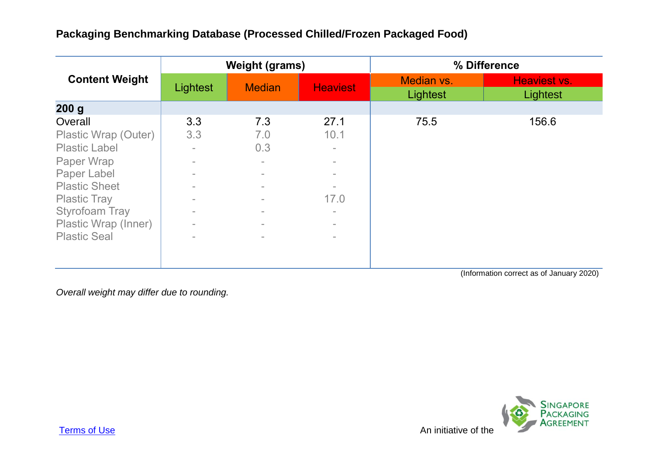| <b>Content Weight</b> |          | <b>Weight (grams)</b>    |                          | % Difference           |                          |  |
|-----------------------|----------|--------------------------|--------------------------|------------------------|--------------------------|--|
|                       | Lightest | <b>Median</b>            | <b>Heaviest</b>          | Median vs.<br>Lightest | Heaviest vs.<br>Lightest |  |
| 200 <sub>g</sub>      |          |                          |                          |                        |                          |  |
| Overall               | 3.3      | 7.3                      | 27.1                     | 75.5                   | 156.6                    |  |
| Plastic Wrap (Outer)  | 3.3      | 7.0                      | 10.1                     |                        |                          |  |
| <b>Plastic Label</b>  | $\equiv$ | 0.3                      | $\equiv$                 |                        |                          |  |
| Paper Wrap            | $\equiv$ | $\overline{\phantom{a}}$ | $\equiv$                 |                        |                          |  |
| Paper Label           |          | $\equiv$                 | $\sim$                   |                        |                          |  |
| <b>Plastic Sheet</b>  |          | $\equiv$                 | $\equiv$                 |                        |                          |  |
| <b>Plastic Tray</b>   | $\equiv$ | $\sim$                   | 17.0                     |                        |                          |  |
| <b>Styrofoam Tray</b> | $\equiv$ | $\equiv$                 | ۰.                       |                        |                          |  |
| Plastic Wrap (Inner)  | $\equiv$ | $\equiv$                 | $\equiv$                 |                        |                          |  |
| <b>Plastic Seal</b>   | $\equiv$ | $\equiv$                 | $\overline{\phantom{a}}$ |                        |                          |  |
|                       |          |                          |                          |                        |                          |  |
|                       |          |                          |                          | $\cdot$ $\cdot$        |                          |  |

(Information correct as of January 2020)

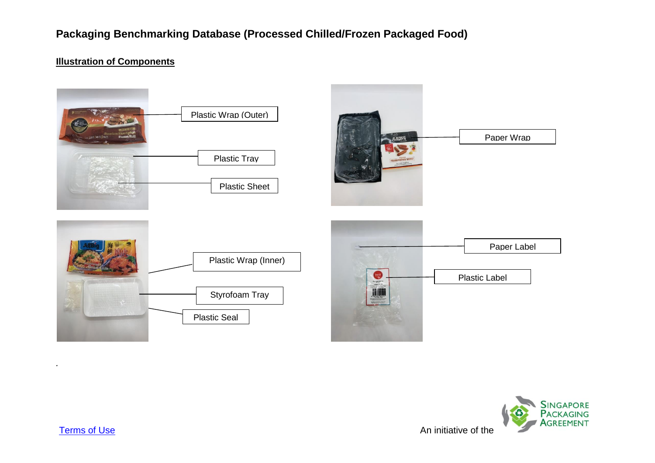#### **Illustration of Components**





*.*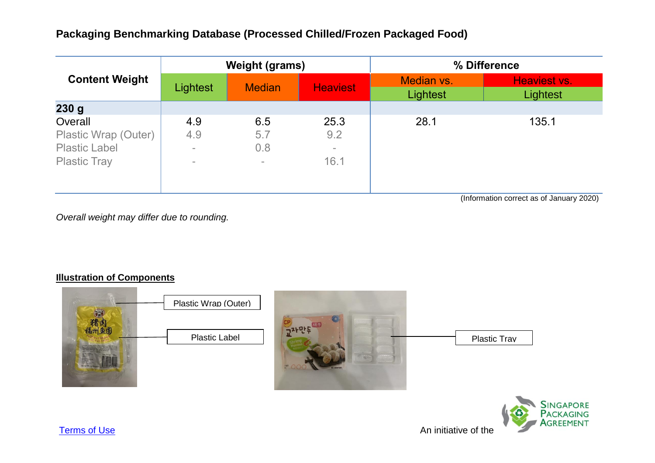| <b>Content Weight</b> |          | <b>Weight (grams)</b> |                 | % Difference           |                          |  |
|-----------------------|----------|-----------------------|-----------------|------------------------|--------------------------|--|
|                       | Lightest | <b>Median</b>         | <b>Heaviest</b> | Median vs.<br>Lightest | Heaviest vs.<br>Lightest |  |
| 230g                  |          |                       |                 |                        |                          |  |
| Overall               | 4.9      | 6.5                   | 25.3            | 28.1                   | 135.1                    |  |
| Plastic Wrap (Outer)  | 4.9      | 5.7                   | 9.2             |                        |                          |  |
| <b>Plastic Label</b>  | $\equiv$ | 0.8                   | $\sim$          |                        |                          |  |
| <b>Plastic Tray</b>   | $\equiv$ | $\equiv$              | 16.1            |                        |                          |  |

(Information correct as of January 2020)

*Overall weight may differ due to rounding.*



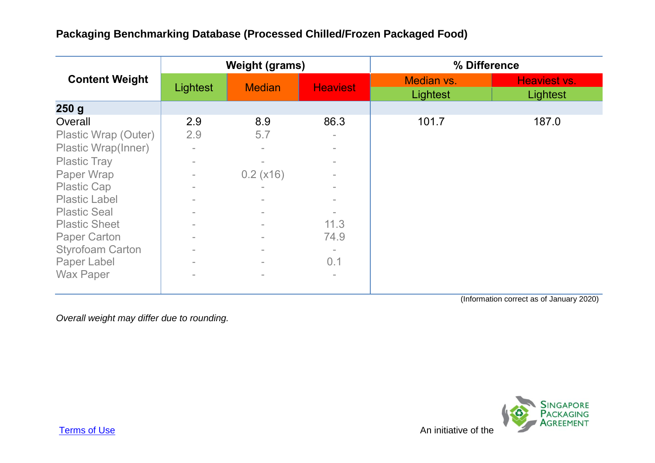| <b>Content Weight</b>   | <b>Weight (grams)</b>    |               |                          | % Difference |                     |  |
|-------------------------|--------------------------|---------------|--------------------------|--------------|---------------------|--|
|                         | Lightest                 | <b>Median</b> | <b>Heaviest</b>          | Median vs.   | <b>Heaviest vs.</b> |  |
|                         |                          |               |                          | Lightest     | Lightest            |  |
| 250g                    |                          |               |                          |              |                     |  |
| Overall                 | 2.9                      | 8.9           | 86.3                     | 101.7        | 187.0               |  |
| Plastic Wrap (Outer)    | 2.9                      | 5.7           | $\equiv$                 |              |                     |  |
| Plastic Wrap(Inner)     | $\equiv$                 | $\equiv$      | $\sim$                   |              |                     |  |
| <b>Plastic Tray</b>     | $\equiv$                 | $\equiv$      | $\sim$                   |              |                     |  |
| Paper Wrap              | $\equiv$                 | 0.2(x16)      | $\sim$                   |              |                     |  |
| <b>Plastic Cap</b>      |                          |               | $\overline{\phantom{a}}$ |              |                     |  |
| <b>Plastic Label</b>    | $\equiv$                 | $\sim$        | $\equiv$                 |              |                     |  |
| <b>Plastic Seal</b>     | $\overline{\phantom{a}}$ | $\equiv$      | $\overline{\phantom{a}}$ |              |                     |  |
| <b>Plastic Sheet</b>    | $\equiv$                 | $\equiv$      | 11.3                     |              |                     |  |
| <b>Paper Carton</b>     | $\equiv$                 | $\equiv$      | 74.9                     |              |                     |  |
| <b>Styrofoam Carton</b> | $\sim$                   | $\equiv$      | $\sim$                   |              |                     |  |
| Paper Label             | $\equiv$                 | $\equiv$      | 0.1                      |              |                     |  |
| <b>Wax Paper</b>        | $\sim$                   | $\equiv$      | $\overline{\phantom{a}}$ |              |                     |  |
|                         |                          |               |                          |              |                     |  |

(Information correct as of January 2020)

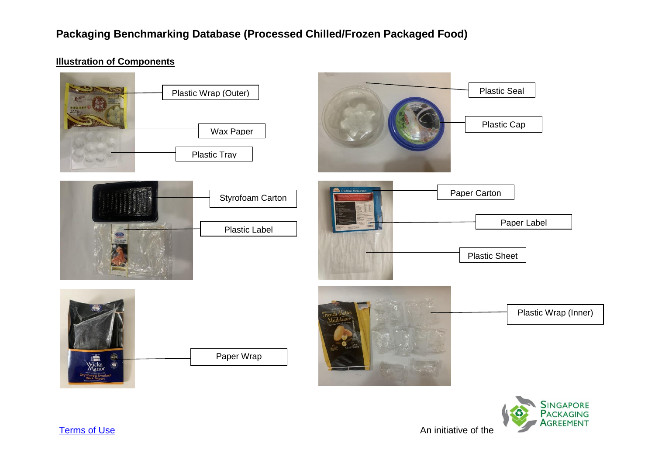

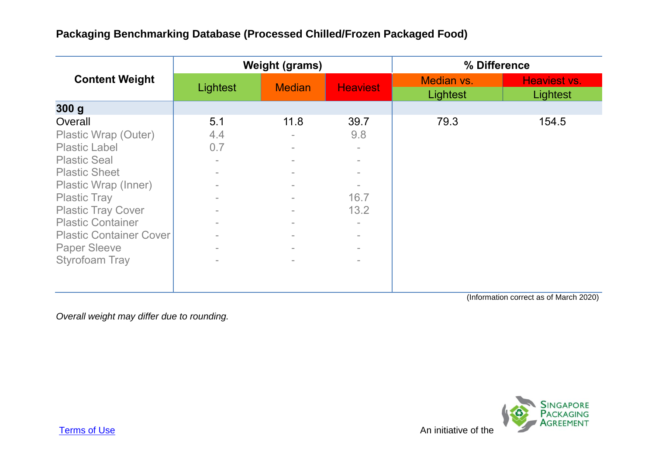|                                |                          | <b>Weight (grams)</b> |                 | % Difference           |                                 |
|--------------------------------|--------------------------|-----------------------|-----------------|------------------------|---------------------------------|
| <b>Content Weight</b>          | Lightest                 | <b>Median</b>         | <b>Heaviest</b> | Median vs.<br>Lightest | <b>Heaviest vs.</b><br>Lightest |
| 300 <sub>g</sub>               |                          |                       |                 |                        |                                 |
| Overall                        | 5.1                      | 11.8                  | 39.7            | 79.3                   | 154.5                           |
| <b>Plastic Wrap (Outer)</b>    | 4.4                      | $\sim$                | 9.8             |                        |                                 |
| <b>Plastic Label</b>           | 0.7                      | $\sim$                | $\equiv$        |                        |                                 |
| <b>Plastic Seal</b>            |                          | $\sim$                | $\sim$          |                        |                                 |
| <b>Plastic Sheet</b>           | $\equiv$                 | $\sim$                | $\equiv$        |                        |                                 |
| Plastic Wrap (Inner)           |                          | $\sim$                | $\equiv$        |                        |                                 |
| <b>Plastic Tray</b>            | $\equiv$                 | $\sim$                | 16.7            |                        |                                 |
| <b>Plastic Tray Cover</b>      |                          | $\sim$                | 13.2            |                        |                                 |
| <b>Plastic Container</b>       | $\equiv$                 | $\sim$                | $\equiv$        |                        |                                 |
| <b>Plastic Container Cover</b> | $\overline{\phantom{a}}$ | $\sim$                | $\sim$          |                        |                                 |
| <b>Paper Sleeve</b>            | $\overline{\phantom{a}}$ | $\sim$                | $\equiv$        |                        |                                 |
| <b>Styrofoam Tray</b>          | $\equiv$                 | $\equiv$              | $\equiv$        |                        |                                 |
|                                |                          |                       |                 |                        |                                 |

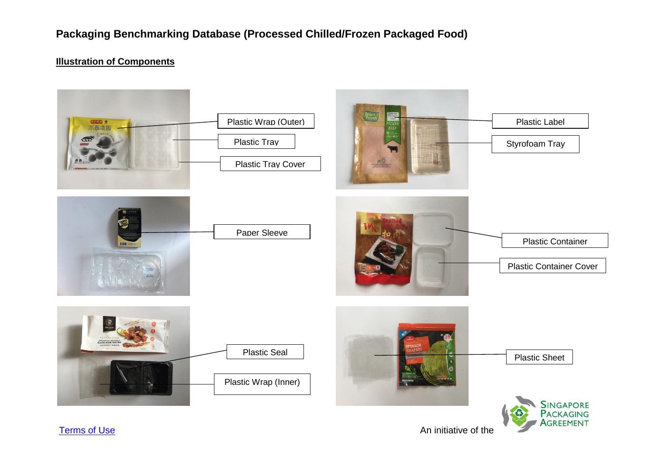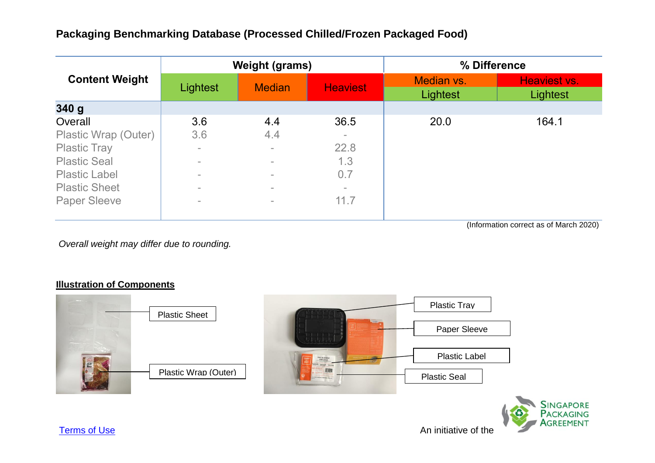| <b>Content Weight</b> |          | <b>Weight (grams)</b> |                 |                        | % Difference             |
|-----------------------|----------|-----------------------|-----------------|------------------------|--------------------------|
|                       | Lightest | <b>Median</b>         | <b>Heaviest</b> | Median vs.<br>Lightest | Heaviest vs.<br>Lightest |
| 340 g                 |          |                       |                 |                        |                          |
| Overall               | 3.6      | 4.4                   | 36.5            | 20.0                   | 164.1                    |
| Plastic Wrap (Outer)  | 3.6      | 4.4                   | $\equiv$        |                        |                          |
| <b>Plastic Tray</b>   |          | $\equiv$              | 22.8            |                        |                          |
| <b>Plastic Seal</b>   | $\equiv$ | $\equiv$              | 1.3             |                        |                          |
| <b>Plastic Label</b>  | $\equiv$ | $\equiv$              | 0.7             |                        |                          |
| <b>Plastic Sheet</b>  | $\equiv$ | $\equiv$              | $\equiv$        |                        |                          |
| <b>Paper Sleeve</b>   | $\equiv$ | $\equiv$              | 11.7            |                        |                          |
|                       |          |                       |                 |                        |                          |

**AGREEMENT** 

*Overall weight may differ due to rounding.*



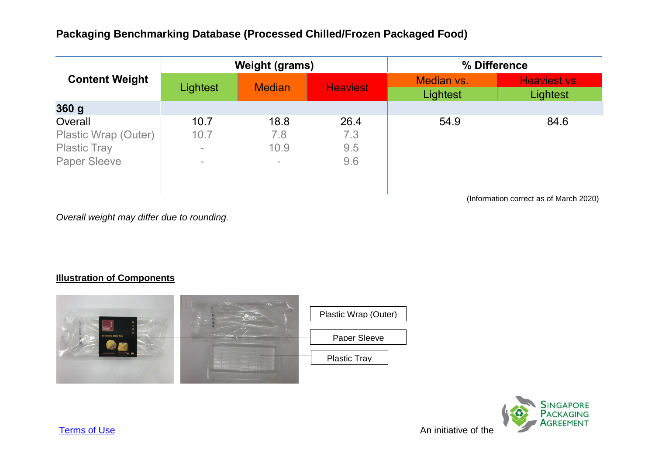| <b>Content Weight</b> |          | <b>Weight (grams)</b> |                 | % Difference           |                          |  |
|-----------------------|----------|-----------------------|-----------------|------------------------|--------------------------|--|
|                       | Lightest | <b>Median</b>         | <b>Heaviest</b> | Median vs.<br>Lightest | Heaviest vs.<br>Lightest |  |
| 360 g                 |          |                       |                 |                        |                          |  |
| Overall               | 10.7     | 18.8                  | 26.4            | 54.9                   | 84.6                     |  |
| Plastic Wrap (Outer)  | 10.7     | 7.8                   | 7.3             |                        |                          |  |
| <b>Plastic Tray</b>   | $\equiv$ | 10.9                  | 9.5             |                        |                          |  |
| <b>Paper Sleeve</b>   | $\equiv$ | $\equiv$              | 9.6             |                        |                          |  |
|                       |          |                       |                 |                        |                          |  |

*Overall weight may differ due to rounding.*



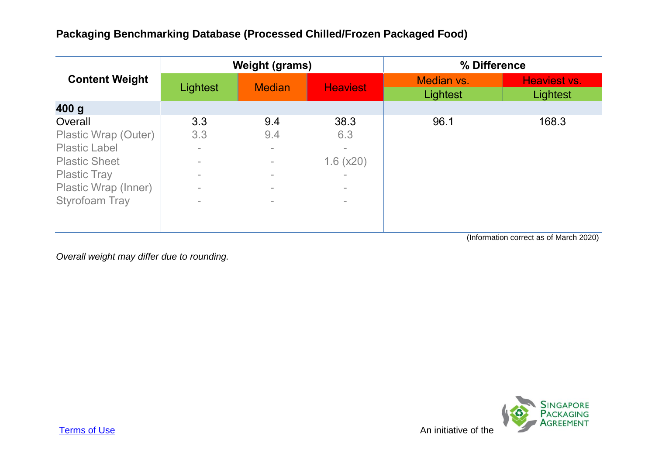| <b>Content Weight</b> |          | <b>Weight (grams)</b> |                          | % Difference         |                     |
|-----------------------|----------|-----------------------|--------------------------|----------------------|---------------------|
|                       | Lightest | <b>Median</b>         | <b>Heaviest</b>          | Median vs.           | <b>Heaviest vs.</b> |
|                       |          |                       |                          | Lightest<br>Lightest |                     |
| 400 g                 |          |                       |                          |                      |                     |
| Overall               | 3.3      | 9.4                   | 38.3                     | 96.1                 | 168.3               |
| Plastic Wrap (Outer)  | 3.3      | 9.4                   | 6.3                      |                      |                     |
| <b>Plastic Label</b>  |          | $\sim$                | $\equiv$                 |                      |                     |
| <b>Plastic Sheet</b>  |          | $\sim$                | 1.6(x20)                 |                      |                     |
| <b>Plastic Tray</b>   |          | $\sim$                | $\equiv$                 |                      |                     |
| Plastic Wrap (Inner)  |          | $\equiv$              | $\sim$                   |                      |                     |
| <b>Styrofoam Tray</b> |          | $\equiv$              | $\overline{\phantom{a}}$ |                      |                     |
|                       |          |                       |                          |                      |                     |
|                       |          |                       |                          |                      |                     |

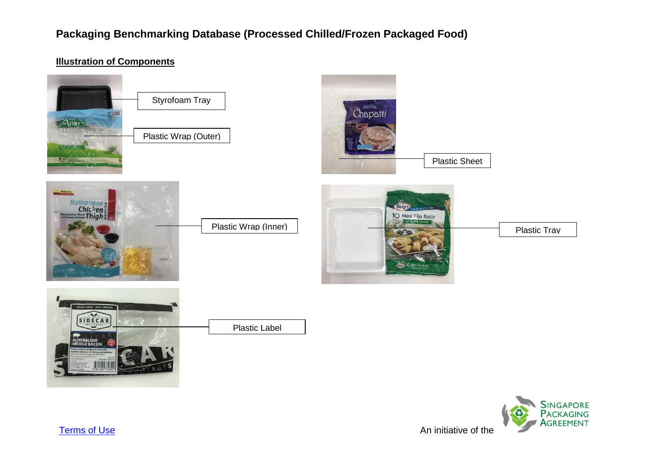

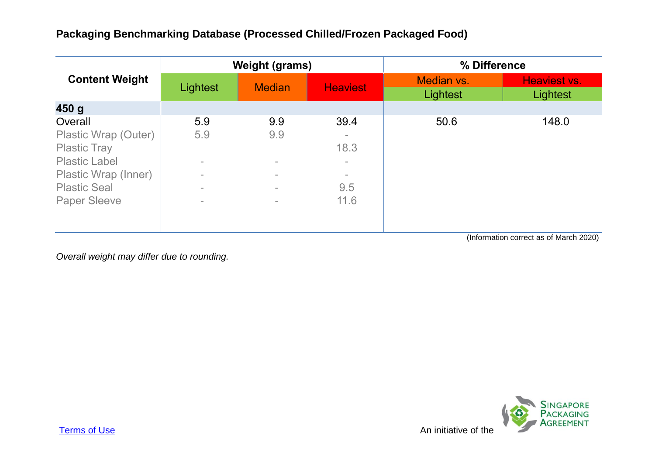|                       |          | <b>Weight (grams)</b> |                 | % Difference           |                                                                                                                                                                                                                                                                                                                                                                                                        |
|-----------------------|----------|-----------------------|-----------------|------------------------|--------------------------------------------------------------------------------------------------------------------------------------------------------------------------------------------------------------------------------------------------------------------------------------------------------------------------------------------------------------------------------------------------------|
| <b>Content Weight</b> | Lightest | <b>Median</b>         | <b>Heaviest</b> | Median vs.<br>Lightest | <b>Heaviest vs.</b><br>Lightest                                                                                                                                                                                                                                                                                                                                                                        |
| 450 g                 |          |                       |                 |                        |                                                                                                                                                                                                                                                                                                                                                                                                        |
| Overall               | 5.9      | 9.9                   | 39.4            | 50.6                   | 148.0                                                                                                                                                                                                                                                                                                                                                                                                  |
| Plastic Wrap (Outer)  | 5.9      | 9.9                   |                 |                        |                                                                                                                                                                                                                                                                                                                                                                                                        |
| <b>Plastic Tray</b>   |          |                       | 18.3            |                        |                                                                                                                                                                                                                                                                                                                                                                                                        |
| <b>Plastic Label</b>  | $\equiv$ | $\equiv$              | $\sim$          |                        |                                                                                                                                                                                                                                                                                                                                                                                                        |
| Plastic Wrap (Inner)  | $\equiv$ | $\equiv$              |                 |                        |                                                                                                                                                                                                                                                                                                                                                                                                        |
| <b>Plastic Seal</b>   | $\sim$   | $\sim$                | 9.5             |                        |                                                                                                                                                                                                                                                                                                                                                                                                        |
| <b>Paper Sleeve</b>   | $\sim$   | $\equiv$              | 11.6            |                        |                                                                                                                                                                                                                                                                                                                                                                                                        |
|                       |          |                       |                 |                        |                                                                                                                                                                                                                                                                                                                                                                                                        |
|                       |          |                       |                 |                        | $(1, t, \ldots, t)$ , $(1, t, t, \ldots, t)$ , $(1, t, t, \ldots, t, \ldots, t, \ldots, t, \ldots, t, \ldots, t, \ldots, t, \ldots, t, \ldots, t, \ldots, t, \ldots, t, \ldots, t, \ldots, t, \ldots, t, \ldots, t, \ldots, t, \ldots, t, \ldots, t, \ldots, t, \ldots, t, \ldots, t, \ldots, t, \ldots, t, \ldots, t, \ldots, t, \ldots, t, \ldots, t, \ldots, t, \ldots, t, \ldots, t, \ldots, t, \$ |